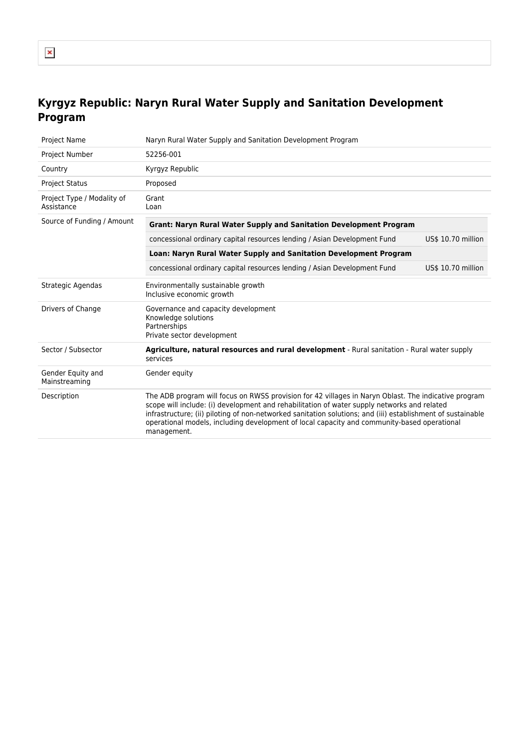## **Kyrgyz Republic: Naryn Rural Water Supply and Sanitation Development Program**

| <b>Project Name</b>                      | Naryn Rural Water Supply and Sanitation Development Program                                                                                                                                                                                                                                                                                                                                                                      |  |
|------------------------------------------|----------------------------------------------------------------------------------------------------------------------------------------------------------------------------------------------------------------------------------------------------------------------------------------------------------------------------------------------------------------------------------------------------------------------------------|--|
| Project Number                           | 52256-001                                                                                                                                                                                                                                                                                                                                                                                                                        |  |
| Country                                  | Kyrgyz Republic                                                                                                                                                                                                                                                                                                                                                                                                                  |  |
| <b>Project Status</b>                    | Proposed                                                                                                                                                                                                                                                                                                                                                                                                                         |  |
| Project Type / Modality of<br>Assistance | Grant<br>Loan                                                                                                                                                                                                                                                                                                                                                                                                                    |  |
| Source of Funding / Amount               | <b>Grant: Naryn Rural Water Supply and Sanitation Development Program</b>                                                                                                                                                                                                                                                                                                                                                        |  |
|                                          | US\$ 10.70 million<br>concessional ordinary capital resources lending / Asian Development Fund                                                                                                                                                                                                                                                                                                                                   |  |
|                                          | Loan: Naryn Rural Water Supply and Sanitation Development Program                                                                                                                                                                                                                                                                                                                                                                |  |
|                                          | concessional ordinary capital resources lending / Asian Development Fund<br>US\$ 10.70 million                                                                                                                                                                                                                                                                                                                                   |  |
| Strategic Agendas                        | Environmentally sustainable growth<br>Inclusive economic growth                                                                                                                                                                                                                                                                                                                                                                  |  |
| Drivers of Change                        | Governance and capacity development<br>Knowledge solutions<br>Partnerships<br>Private sector development                                                                                                                                                                                                                                                                                                                         |  |
| Sector / Subsector                       | Agriculture, natural resources and rural development - Rural sanitation - Rural water supply<br>services                                                                                                                                                                                                                                                                                                                         |  |
| Gender Equity and<br>Mainstreaming       | Gender equity                                                                                                                                                                                                                                                                                                                                                                                                                    |  |
| Description                              | The ADB program will focus on RWSS provision for 42 villages in Naryn Oblast. The indicative program<br>scope will include: (i) development and rehabilitation of water supply networks and related<br>infrastructure; (ii) piloting of non-networked sanitation solutions; and (iii) establishment of sustainable<br>operational models, including development of local capacity and community-based operational<br>management. |  |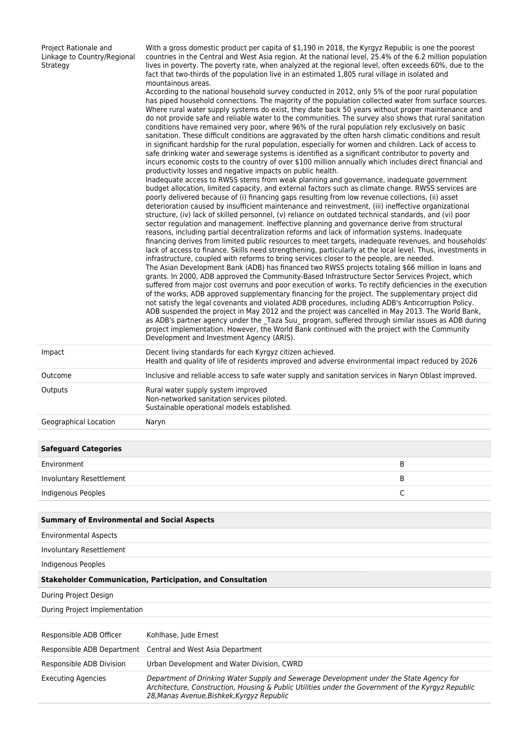| Project Rationale and<br>Linkage to Country/Regional<br>Strategy | With a gross domestic product per capita of \$1,190 in 2018, the Kyrgyz Republic is one the poorest<br>countries in the Central and West Asia region. At the national level, 25.4% of the 6.2 million population<br>lives in poverty. The poverty rate, when analyzed at the regional level, often exceeds 60%, due to the<br>fact that two-thirds of the population live in an estimated 1,805 rural village in isolated and<br>mountainous areas.<br>According to the national household survey conducted in 2012, only 5% of the poor rural population<br>has piped household connections. The majority of the population collected water from surface sources.<br>Where rural water supply systems do exist, they date back 50 years without proper maintenance and<br>do not provide safe and reliable water to the communities. The survey also shows that rural sanitation<br>conditions have remained very poor, where 96% of the rural population rely exclusively on basic<br>sanitation. These difficult conditions are aggravated by the often harsh climatic conditions and result<br>in significant hardship for the rural population, especially for women and children. Lack of access to<br>safe drinking water and sewerage systems is identified as a significant contributor to poverty and<br>incurs economic costs to the country of over \$100 million annually which includes direct financial and<br>productivity losses and negative impacts on public health.<br>Inadequate access to RWSS stems from weak planning and governance, inadequate government<br>budget allocation, limited capacity, and external factors such as climate change. RWSS services are<br>poorly delivered because of (i) financing gaps resulting from low revenue collections, (ii) asset<br>deterioration caused by insufficient maintenance and reinvestment, (iii) ineffective organizational<br>structure, (iv) lack of skilled personnel, (v) reliance on outdated technical standards, and (vi) poor<br>sector regulation and management. Ineffective planning and governance derive from structural<br>reasons, including partial decentralization reforms and lack of information systems. Inadequate<br>financing derives from limited public resources to meet targets, inadequate revenues, and households'<br>lack of access to finance. Skills need strengthening, particularly at the local level. Thus, investments in<br>infrastructure, coupled with reforms to bring services closer to the people, are needed.<br>The Asian Development Bank (ADB) has financed two RWSS projects totaling \$66 million in loans and<br>grants. In 2000, ADB approved the Community-Based Infrastructure Sector Services Project, which<br>suffered from major cost overruns and poor execution of works. To rectify deficiencies in the execution<br>of the works, ADB approved supplementary financing for the project. The supplementary project did<br>not satisfy the legal covenants and violated ADB procedures, including ADB's Anticorruption Policy.<br>ADB suspended the project in May 2012 and the project was cancelled in May 2013. The World Bank,<br>as ADB's partner agency under the _Taza Suu_ program, suffered through similar issues as ADB during<br>project implementation. However, the World Bank continued with the project with the Community<br>Development and Investment Agency (ARIS). |             |
|------------------------------------------------------------------|-----------------------------------------------------------------------------------------------------------------------------------------------------------------------------------------------------------------------------------------------------------------------------------------------------------------------------------------------------------------------------------------------------------------------------------------------------------------------------------------------------------------------------------------------------------------------------------------------------------------------------------------------------------------------------------------------------------------------------------------------------------------------------------------------------------------------------------------------------------------------------------------------------------------------------------------------------------------------------------------------------------------------------------------------------------------------------------------------------------------------------------------------------------------------------------------------------------------------------------------------------------------------------------------------------------------------------------------------------------------------------------------------------------------------------------------------------------------------------------------------------------------------------------------------------------------------------------------------------------------------------------------------------------------------------------------------------------------------------------------------------------------------------------------------------------------------------------------------------------------------------------------------------------------------------------------------------------------------------------------------------------------------------------------------------------------------------------------------------------------------------------------------------------------------------------------------------------------------------------------------------------------------------------------------------------------------------------------------------------------------------------------------------------------------------------------------------------------------------------------------------------------------------------------------------------------------------------------------------------------------------------------------------------------------------------------------------------------------------------------------------------------------------------------------------------------------------------------------------------------------------------------------------------------------------------------------------------------------------------------------------------------------------------------------------------------------------------------------------------------------------------------------------------------------------------------------------------------------------------------------------------------------------------------------------------------------------------------------------------------------------------------------------------------------------------|-------------|
| Impact                                                           | Decent living standards for each Kyrgyz citizen achieved.<br>Health and quality of life of residents improved and adverse environmental impact reduced by 2026                                                                                                                                                                                                                                                                                                                                                                                                                                                                                                                                                                                                                                                                                                                                                                                                                                                                                                                                                                                                                                                                                                                                                                                                                                                                                                                                                                                                                                                                                                                                                                                                                                                                                                                                                                                                                                                                                                                                                                                                                                                                                                                                                                                                                                                                                                                                                                                                                                                                                                                                                                                                                                                                                                                                                                                                                                                                                                                                                                                                                                                                                                                                                                                                                                                                    |             |
| Outcome                                                          | Inclusive and reliable access to safe water supply and sanitation services in Naryn Oblast improved.                                                                                                                                                                                                                                                                                                                                                                                                                                                                                                                                                                                                                                                                                                                                                                                                                                                                                                                                                                                                                                                                                                                                                                                                                                                                                                                                                                                                                                                                                                                                                                                                                                                                                                                                                                                                                                                                                                                                                                                                                                                                                                                                                                                                                                                                                                                                                                                                                                                                                                                                                                                                                                                                                                                                                                                                                                                                                                                                                                                                                                                                                                                                                                                                                                                                                                                              |             |
| Outputs                                                          | Rural water supply system improved<br>Non-networked sanitation services piloted.<br>Sustainable operational models established.                                                                                                                                                                                                                                                                                                                                                                                                                                                                                                                                                                                                                                                                                                                                                                                                                                                                                                                                                                                                                                                                                                                                                                                                                                                                                                                                                                                                                                                                                                                                                                                                                                                                                                                                                                                                                                                                                                                                                                                                                                                                                                                                                                                                                                                                                                                                                                                                                                                                                                                                                                                                                                                                                                                                                                                                                                                                                                                                                                                                                                                                                                                                                                                                                                                                                                   |             |
| Geographical Location                                            | Naryn                                                                                                                                                                                                                                                                                                                                                                                                                                                                                                                                                                                                                                                                                                                                                                                                                                                                                                                                                                                                                                                                                                                                                                                                                                                                                                                                                                                                                                                                                                                                                                                                                                                                                                                                                                                                                                                                                                                                                                                                                                                                                                                                                                                                                                                                                                                                                                                                                                                                                                                                                                                                                                                                                                                                                                                                                                                                                                                                                                                                                                                                                                                                                                                                                                                                                                                                                                                                                             |             |
|                                                                  |                                                                                                                                                                                                                                                                                                                                                                                                                                                                                                                                                                                                                                                                                                                                                                                                                                                                                                                                                                                                                                                                                                                                                                                                                                                                                                                                                                                                                                                                                                                                                                                                                                                                                                                                                                                                                                                                                                                                                                                                                                                                                                                                                                                                                                                                                                                                                                                                                                                                                                                                                                                                                                                                                                                                                                                                                                                                                                                                                                                                                                                                                                                                                                                                                                                                                                                                                                                                                                   |             |
| <b>Safeguard Categories</b>                                      |                                                                                                                                                                                                                                                                                                                                                                                                                                                                                                                                                                                                                                                                                                                                                                                                                                                                                                                                                                                                                                                                                                                                                                                                                                                                                                                                                                                                                                                                                                                                                                                                                                                                                                                                                                                                                                                                                                                                                                                                                                                                                                                                                                                                                                                                                                                                                                                                                                                                                                                                                                                                                                                                                                                                                                                                                                                                                                                                                                                                                                                                                                                                                                                                                                                                                                                                                                                                                                   |             |
| Environment                                                      |                                                                                                                                                                                                                                                                                                                                                                                                                                                                                                                                                                                                                                                                                                                                                                                                                                                                                                                                                                                                                                                                                                                                                                                                                                                                                                                                                                                                                                                                                                                                                                                                                                                                                                                                                                                                                                                                                                                                                                                                                                                                                                                                                                                                                                                                                                                                                                                                                                                                                                                                                                                                                                                                                                                                                                                                                                                                                                                                                                                                                                                                                                                                                                                                                                                                                                                                                                                                                                   | B           |
| <b>Involuntary Resettlement</b>                                  |                                                                                                                                                                                                                                                                                                                                                                                                                                                                                                                                                                                                                                                                                                                                                                                                                                                                                                                                                                                                                                                                                                                                                                                                                                                                                                                                                                                                                                                                                                                                                                                                                                                                                                                                                                                                                                                                                                                                                                                                                                                                                                                                                                                                                                                                                                                                                                                                                                                                                                                                                                                                                                                                                                                                                                                                                                                                                                                                                                                                                                                                                                                                                                                                                                                                                                                                                                                                                                   | В           |
| <b>Indigenous Peoples</b>                                        |                                                                                                                                                                                                                                                                                                                                                                                                                                                                                                                                                                                                                                                                                                                                                                                                                                                                                                                                                                                                                                                                                                                                                                                                                                                                                                                                                                                                                                                                                                                                                                                                                                                                                                                                                                                                                                                                                                                                                                                                                                                                                                                                                                                                                                                                                                                                                                                                                                                                                                                                                                                                                                                                                                                                                                                                                                                                                                                                                                                                                                                                                                                                                                                                                                                                                                                                                                                                                                   | $\mathsf C$ |
| <b>Summary of Environmental and Social Aspects</b>               |                                                                                                                                                                                                                                                                                                                                                                                                                                                                                                                                                                                                                                                                                                                                                                                                                                                                                                                                                                                                                                                                                                                                                                                                                                                                                                                                                                                                                                                                                                                                                                                                                                                                                                                                                                                                                                                                                                                                                                                                                                                                                                                                                                                                                                                                                                                                                                                                                                                                                                                                                                                                                                                                                                                                                                                                                                                                                                                                                                                                                                                                                                                                                                                                                                                                                                                                                                                                                                   |             |
| <b>Environmental Aspects</b>                                     |                                                                                                                                                                                                                                                                                                                                                                                                                                                                                                                                                                                                                                                                                                                                                                                                                                                                                                                                                                                                                                                                                                                                                                                                                                                                                                                                                                                                                                                                                                                                                                                                                                                                                                                                                                                                                                                                                                                                                                                                                                                                                                                                                                                                                                                                                                                                                                                                                                                                                                                                                                                                                                                                                                                                                                                                                                                                                                                                                                                                                                                                                                                                                                                                                                                                                                                                                                                                                                   |             |
| Involuntary Resettlement                                         |                                                                                                                                                                                                                                                                                                                                                                                                                                                                                                                                                                                                                                                                                                                                                                                                                                                                                                                                                                                                                                                                                                                                                                                                                                                                                                                                                                                                                                                                                                                                                                                                                                                                                                                                                                                                                                                                                                                                                                                                                                                                                                                                                                                                                                                                                                                                                                                                                                                                                                                                                                                                                                                                                                                                                                                                                                                                                                                                                                                                                                                                                                                                                                                                                                                                                                                                                                                                                                   |             |
| Indigenous Peoples                                               |                                                                                                                                                                                                                                                                                                                                                                                                                                                                                                                                                                                                                                                                                                                                                                                                                                                                                                                                                                                                                                                                                                                                                                                                                                                                                                                                                                                                                                                                                                                                                                                                                                                                                                                                                                                                                                                                                                                                                                                                                                                                                                                                                                                                                                                                                                                                                                                                                                                                                                                                                                                                                                                                                                                                                                                                                                                                                                                                                                                                                                                                                                                                                                                                                                                                                                                                                                                                                                   |             |
|                                                                  |                                                                                                                                                                                                                                                                                                                                                                                                                                                                                                                                                                                                                                                                                                                                                                                                                                                                                                                                                                                                                                                                                                                                                                                                                                                                                                                                                                                                                                                                                                                                                                                                                                                                                                                                                                                                                                                                                                                                                                                                                                                                                                                                                                                                                                                                                                                                                                                                                                                                                                                                                                                                                                                                                                                                                                                                                                                                                                                                                                                                                                                                                                                                                                                                                                                                                                                                                                                                                                   |             |
|                                                                  | <b>Stakeholder Communication, Participation, and Consultation</b>                                                                                                                                                                                                                                                                                                                                                                                                                                                                                                                                                                                                                                                                                                                                                                                                                                                                                                                                                                                                                                                                                                                                                                                                                                                                                                                                                                                                                                                                                                                                                                                                                                                                                                                                                                                                                                                                                                                                                                                                                                                                                                                                                                                                                                                                                                                                                                                                                                                                                                                                                                                                                                                                                                                                                                                                                                                                                                                                                                                                                                                                                                                                                                                                                                                                                                                                                                 |             |
| During Project Design                                            |                                                                                                                                                                                                                                                                                                                                                                                                                                                                                                                                                                                                                                                                                                                                                                                                                                                                                                                                                                                                                                                                                                                                                                                                                                                                                                                                                                                                                                                                                                                                                                                                                                                                                                                                                                                                                                                                                                                                                                                                                                                                                                                                                                                                                                                                                                                                                                                                                                                                                                                                                                                                                                                                                                                                                                                                                                                                                                                                                                                                                                                                                                                                                                                                                                                                                                                                                                                                                                   |             |
| During Project Implementation                                    |                                                                                                                                                                                                                                                                                                                                                                                                                                                                                                                                                                                                                                                                                                                                                                                                                                                                                                                                                                                                                                                                                                                                                                                                                                                                                                                                                                                                                                                                                                                                                                                                                                                                                                                                                                                                                                                                                                                                                                                                                                                                                                                                                                                                                                                                                                                                                                                                                                                                                                                                                                                                                                                                                                                                                                                                                                                                                                                                                                                                                                                                                                                                                                                                                                                                                                                                                                                                                                   |             |
| Responsible ADB Officer                                          | Kohlhase, Jude Ernest                                                                                                                                                                                                                                                                                                                                                                                                                                                                                                                                                                                                                                                                                                                                                                                                                                                                                                                                                                                                                                                                                                                                                                                                                                                                                                                                                                                                                                                                                                                                                                                                                                                                                                                                                                                                                                                                                                                                                                                                                                                                                                                                                                                                                                                                                                                                                                                                                                                                                                                                                                                                                                                                                                                                                                                                                                                                                                                                                                                                                                                                                                                                                                                                                                                                                                                                                                                                             |             |
| Responsible ADB Department                                       | Central and West Asia Department                                                                                                                                                                                                                                                                                                                                                                                                                                                                                                                                                                                                                                                                                                                                                                                                                                                                                                                                                                                                                                                                                                                                                                                                                                                                                                                                                                                                                                                                                                                                                                                                                                                                                                                                                                                                                                                                                                                                                                                                                                                                                                                                                                                                                                                                                                                                                                                                                                                                                                                                                                                                                                                                                                                                                                                                                                                                                                                                                                                                                                                                                                                                                                                                                                                                                                                                                                                                  |             |
| Responsible ADB Division                                         | Urban Development and Water Division, CWRD                                                                                                                                                                                                                                                                                                                                                                                                                                                                                                                                                                                                                                                                                                                                                                                                                                                                                                                                                                                                                                                                                                                                                                                                                                                                                                                                                                                                                                                                                                                                                                                                                                                                                                                                                                                                                                                                                                                                                                                                                                                                                                                                                                                                                                                                                                                                                                                                                                                                                                                                                                                                                                                                                                                                                                                                                                                                                                                                                                                                                                                                                                                                                                                                                                                                                                                                                                                        |             |
| <b>Executing Agencies</b>                                        | Department of Drinking Water Supply and Sewerage Development under the State Agency for<br>Architecture, Construction, Housing & Public Utilities under the Government of the Kyrgyz Republic<br>28, Manas Avenue, Bishkek, Kyrgyz Republic                                                                                                                                                                                                                                                                                                                                                                                                                                                                                                                                                                                                                                                                                                                                                                                                                                                                                                                                                                                                                                                                                                                                                                                                                                                                                                                                                                                                                                                                                                                                                                                                                                                                                                                                                                                                                                                                                                                                                                                                                                                                                                                                                                                                                                                                                                                                                                                                                                                                                                                                                                                                                                                                                                                                                                                                                                                                                                                                                                                                                                                                                                                                                                                       |             |